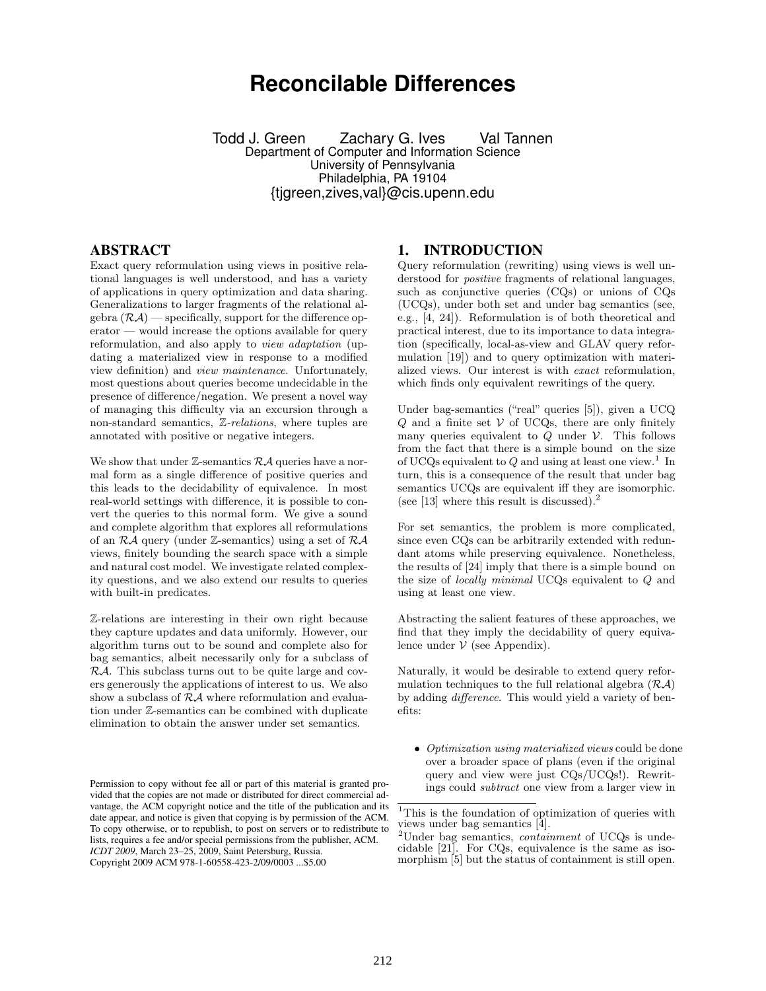# **Reconcilable Differences**

Todd J. Green Zachary G. Ives Val Tannen Department of Computer and Information Science University of Pennsylvania Philadelphia, PA 19104 {tjgreen,zives,val}@cis.upenn.edu

# ABSTRACT

Exact query reformulation using views in positive relational languages is well understood, and has a variety of applications in query optimization and data sharing. Generalizations to larger fragments of the relational algebra  $(RA)$  — specifically, support for the difference operator — would increase the options available for query reformulation, and also apply to view adaptation (updating a materialized view in response to a modified view definition) and view maintenance. Unfortunately, most questions about queries become undecidable in the presence of difference/negation. We present a novel way of managing this difficulty via an excursion through a non-standard semantics, Z-relations, where tuples are annotated with positive or negative integers.

We show that under  $\mathbb{Z}$ -semantics  $\mathcal{RA}$  queries have a normal form as a single difference of positive queries and this leads to the decidability of equivalence. In most real-world settings with difference, it is possible to convert the queries to this normal form. We give a sound and complete algorithm that explores all reformulations of an  $RA$  query (under  $\mathbb{Z}$ -semantics) using a set of  $RA$ views, finitely bounding the search space with a simple and natural cost model. We investigate related complexity questions, and we also extend our results to queries with built-in predicates.

Z-relations are interesting in their own right because they capture updates and data uniformly. However, our algorithm turns out to be sound and complete also for bag semantics, albeit necessarily only for a subclass of RA. This subclass turns out to be quite large and covers generously the applications of interest to us. We also show a subclass of  $R\mathcal{A}$  where reformulation and evaluation under Z-semantics can be combined with duplicate elimination to obtain the answer under set semantics.

#### 1. INTRODUCTION

Query reformulation (rewriting) using views is well understood for *positive* fragments of relational languages, such as conjunctive queries (CQs) or unions of CQs (UCQs), under both set and under bag semantics (see, e.g., [4, 24]). Reformulation is of both theoretical and practical interest, due to its importance to data integration (specifically, local-as-view and GLAV query reformulation [19]) and to query optimization with materialized views. Our interest is with exact reformulation, which finds only equivalent rewritings of the query.

Under bag-semantics ("real" queries [5]), given a UCQ  $Q$  and a finite set  $V$  of UCQs, there are only finitely many queries equivalent to  $Q$  under  $V$ . This follows from the fact that there is a simple bound on the size of UCQs equivalent to  $Q$  and using at least one view.<sup>1</sup> In turn, this is a consequence of the result that under bag semantics UCQs are equivalent iff they are isomorphic. (see  $[13]$  where this result is discussed).<sup>2</sup>

For set semantics, the problem is more complicated, since even CQs can be arbitrarily extended with redundant atoms while preserving equivalence. Nonetheless, the results of [24] imply that there is a simple bound on the size of locally minimal UCQs equivalent to Q and using at least one view.

Abstracting the salient features of these approaches, we find that they imply the decidability of query equivalence under  $V$  (see Appendix).

Naturally, it would be desirable to extend query reformulation techniques to the full relational algebra  $(\mathcal{R}\mathcal{A})$ by adding difference. This would yield a variety of benefits:

• Optimization using materialized views could be done over a broader space of plans (even if the original query and view were just CQs/UCQs!). Rewritings could subtract one view from a larger view in

Permission to copy without fee all or part of this material is granted provided that the copies are not made or distributed for direct commercial advantage, the ACM copyright notice and the title of the publication and its date appear, and notice is given that copying is by permission of the ACM. To copy otherwise, or to republish, to post on servers or to redistribute to lists, requires a fee and/or special permissions from the publisher, ACM. *ICDT 2009*, March 23–25, 2009, Saint Petersburg, Russia. Copyright 2009 ACM 978-1-60558-423-2/09/0003 ...\$5.00

 $11$ This is the foundation of optimization of queries with views under bag semantics [4].

<sup>&</sup>lt;sup>2</sup>Under bag semantics, *containment* of UCQs is undecidable [21]. For CQs, equivalence is the same as isomorphism [5] but the status of containment is still open.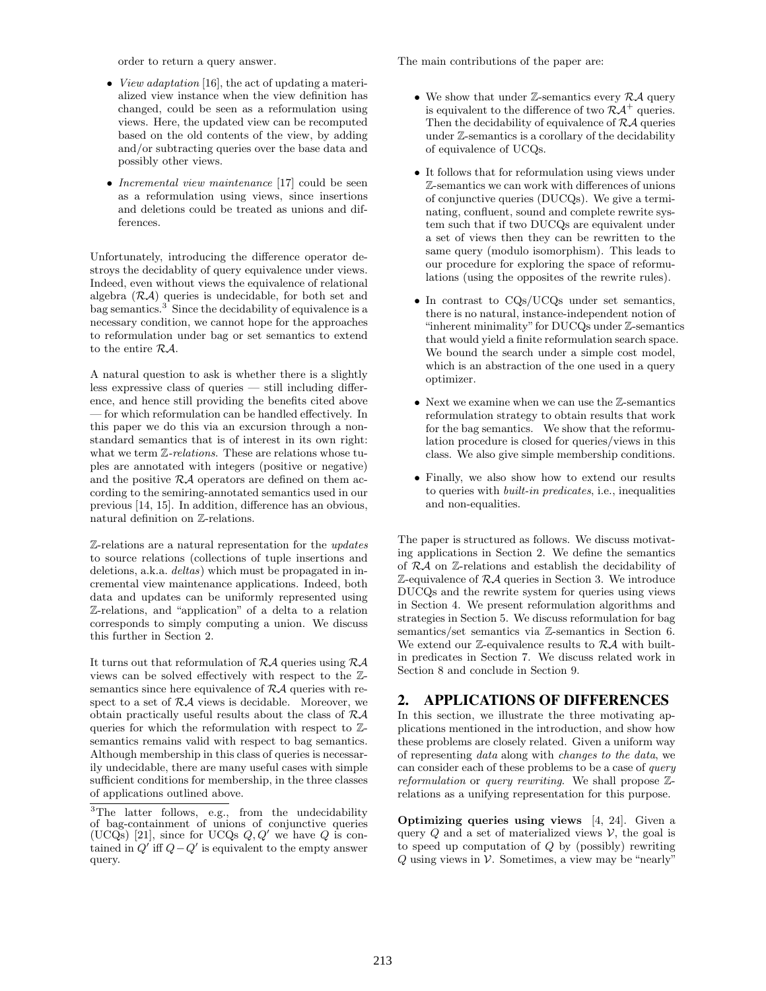order to return a query answer.

- *View adaptation* [16], the act of updating a materialized view instance when the view definition has changed, could be seen as a reformulation using views. Here, the updated view can be recomputed based on the old contents of the view, by adding and/or subtracting queries over the base data and possibly other views.
- *Incremental view maintenance* [17] could be seen as a reformulation using views, since insertions and deletions could be treated as unions and differences.

Unfortunately, introducing the difference operator destroys the decidablity of query equivalence under views. Indeed, even without views the equivalence of relational algebra  $(RA)$  queries is undecidable, for both set and bag semantics.<sup>3</sup> Since the decidability of equivalence is a necessary condition, we cannot hope for the approaches to reformulation under bag or set semantics to extend to the entire RA.

A natural question to ask is whether there is a slightly less expressive class of queries — still including difference, and hence still providing the benefits cited above — for which reformulation can be handled effectively. In this paper we do this via an excursion through a nonstandard semantics that is of interest in its own right: what we term  $\mathbb{Z}\text{-relations}$ . These are relations whose tuples are annotated with integers (positive or negative) and the positive  $R\mathcal{A}$  operators are defined on them according to the semiring-annotated semantics used in our previous [14, 15]. In addition, difference has an obvious, natural definition on Z-relations.

Z-relations are a natural representation for the updates to source relations (collections of tuple insertions and deletions, a.k.a. deltas) which must be propagated in incremental view maintenance applications. Indeed, both data and updates can be uniformly represented using Z-relations, and "application" of a delta to a relation corresponds to simply computing a union. We discuss this further in Section 2.

It turns out that reformulation of  $R\mathcal{A}$  queries using  $R\mathcal{A}$ views can be solved effectively with respect to the Zsemantics since here equivalence of  $RA$  queries with respect to a set of  $R\mathcal{A}$  views is decidable. Moreover, we obtain practically useful results about the class of RA queries for which the reformulation with respect to Zsemantics remains valid with respect to bag semantics. Although membership in this class of queries is necessarily undecidable, there are many useful cases with simple sufficient conditions for membership, in the three classes of applications outlined above.

The main contributions of the paper are:

- We show that under  $\mathbb{Z}$ -semantics every  $\mathcal{RA}$  query is equivalent to the difference of two  $R\mathcal{A}^+$  queries. Then the decidability of equivalence of  $R\mathcal{A}$  queries under Z-semantics is a corollary of the decidability of equivalence of UCQs.
- It follows that for reformulation using views under Z-semantics we can work with differences of unions of conjunctive queries (DUCQs). We give a terminating, confluent, sound and complete rewrite system such that if two DUCQs are equivalent under a set of views then they can be rewritten to the same query (modulo isomorphism). This leads to our procedure for exploring the space of reformulations (using the opposites of the rewrite rules).
- In contrast to CQs/UCQs under set semantics, there is no natural, instance-independent notion of "inherent minimality" for DUCQs under Z-semantics that would yield a finite reformulation search space. We bound the search under a simple cost model, which is an abstraction of the one used in a query optimizer.
- Next we examine when we can use the  $\mathbb Z$ -semantics reformulation strategy to obtain results that work for the bag semantics. We show that the reformulation procedure is closed for queries/views in this class. We also give simple membership conditions.
- Finally, we also show how to extend our results to queries with built-in predicates, i.e., inequalities and non-equalities.

The paper is structured as follows. We discuss motivating applications in Section 2. We define the semantics of RA on Z-relations and establish the decidability of  $\mathbb Z$ -equivalence of  $\mathcal RA$  queries in Section 3. We introduce DUCQs and the rewrite system for queries using views in Section 4. We present reformulation algorithms and strategies in Section 5. We discuss reformulation for bag semantics/set semantics via  $\mathbb{Z}$ -semantics in Section 6. We extend our  $\mathbb{Z}$ -equivalence results to  $\mathcal{RA}$  with builtin predicates in Section 7. We discuss related work in Section 8 and conclude in Section 9.

# 2. APPLICATIONS OF DIFFERENCES

In this section, we illustrate the three motivating applications mentioned in the introduction, and show how these problems are closely related. Given a uniform way of representing data along with changes to the data, we can consider each of these problems to be a case of query reformulation or query rewriting. We shall propose  $\mathbb{Z}$ relations as a unifying representation for this purpose.

Optimizing queries using views [4, 24]. Given a query  $Q$  and a set of materialized views  $V$ , the goal is to speed up computation of  $Q$  by (possibly) rewriting  $Q$  using views in  $V$ . Sometimes, a view may be "nearly"

 $\overline{3}$ The latter follows, e.g., from the undecidability of bag-containment of unions of conjunctive queries (UCQs) [21], since for UCQs  $Q, Q'$  we have Q is contained in  $Q'$  iff  $Q - Q'$  is equivalent to the empty answer query.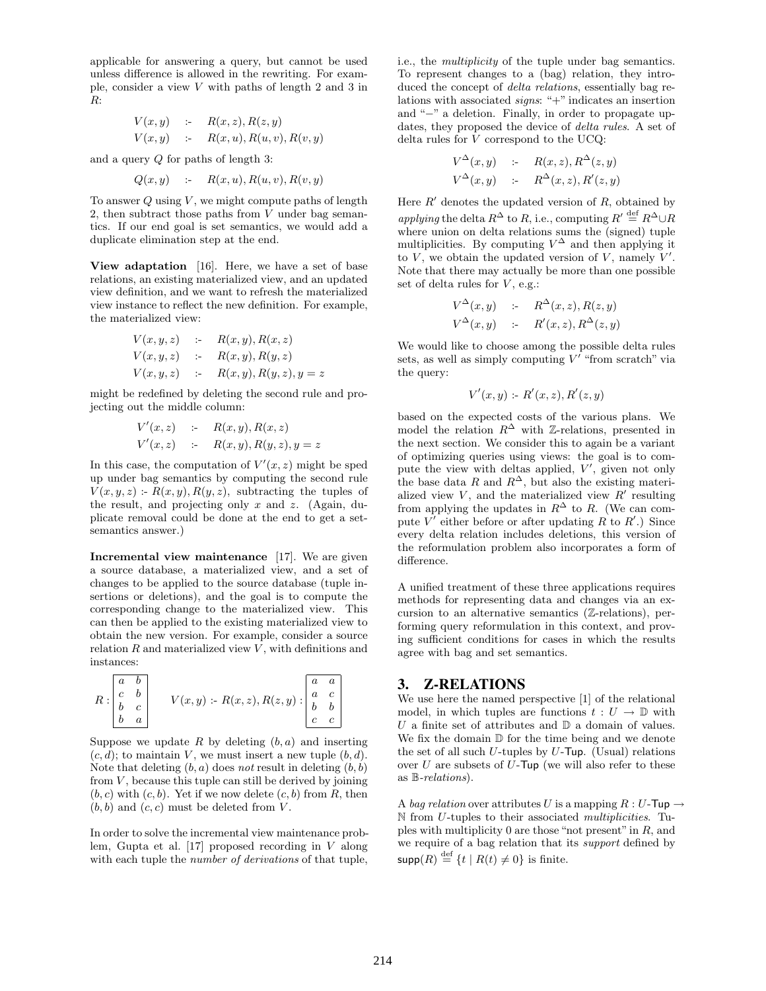applicable for answering a query, but cannot be used unless difference is allowed in the rewriting. For example, consider a view V with paths of length 2 and 3 in  $R:$ 

$$
V(x,y) \quad \therefore \quad R(x,z), R(z,y)
$$
  

$$
V(x,y) \quad \therefore \quad R(x,u), R(u,v), R(v,y)
$$

and a query Q for paths of length 3:

$$
Q(x,y) \quad \text{ := } \quad R(x,u), R(u,v), R(v,y)
$$

To answer  $Q$  using  $V$ , we might compute paths of length 2, then subtract those paths from  $V$  under bag semantics. If our end goal is set semantics, we would add a duplicate elimination step at the end.

View adaptation [16]. Here, we have a set of base relations, an existing materialized view, and an updated view definition, and we want to refresh the materialized view instance to reflect the new definition. For example, the materialized view:

$$
V(x, y, z) \quad \therefore \quad R(x, y), R(x, z)
$$
  
\n
$$
V(x, y, z) \quad \therefore \quad R(x, y), R(y, z)
$$
  
\n
$$
V(x, y, z) \quad \therefore \quad R(x, y), R(y, z), y = z
$$

might be redefined by deleting the second rule and projecting out the middle column:

$$
V'(x, z) := R(x, y), R(x, z)
$$
  
\n
$$
V'(x, z) := R(x, y), R(y, z), y = z
$$

In this case, the computation of  $V'(x, z)$  might be sped up under bag semantics by computing the second rule  $V(x, y, z)$ :  $R(x, y), R(y, z)$ , subtracting the tuples of the result, and projecting only  $x$  and  $z$ . (Again, duplicate removal could be done at the end to get a setsemantics answer.)

Incremental view maintenance [17]. We are given a source database, a materialized view, and a set of changes to be applied to the source database (tuple insertions or deletions), and the goal is to compute the corresponding change to the materialized view. This can then be applied to the existing materialized view to obtain the new version. For example, consider a source relation  $R$  and materialized view  $V$ , with definitions and instances:

$$
R: \begin{bmatrix} a & b \\ c & b \\ b & c \\ b & a \end{bmatrix} \qquad V(x,y) \text{ :- } R(x,z), R(z,y) : \begin{bmatrix} a & a \\ a & c \\ b & b \\ c & c \end{bmatrix}
$$

Suppose we update  $R$  by deleting  $(b, a)$  and inserting  $(c, d)$ ; to maintain V, we must insert a new tuple  $(b, d)$ . Note that deleting  $(b, a)$  does not result in deleting  $(b, b)$ from  $V$ , because this tuple can still be derived by joining  $(b, c)$  with  $(c, b)$ . Yet if we now delete  $(c, b)$  from R, then  $(b, b)$  and  $(c, c)$  must be deleted from V.

In order to solve the incremental view maintenance problem, Gupta et al. [17] proposed recording in V along with each tuple the number of derivations of that tuple, i.e., the multiplicity of the tuple under bag semantics. To represent changes to a (bag) relation, they introduced the concept of delta relations, essentially bag relations with associated signs: "+" indicates an insertion and "−" a deletion. Finally, in order to propagate updates, they proposed the device of delta rules. A set of delta rules for V correspond to the UCQ:

$$
V^{\Delta}(x, y) \quad \therefore \quad R(x, z), R^{\Delta}(z, y)
$$
  

$$
V^{\Delta}(x, y) \quad \therefore \quad R^{\Delta}(x, z), R'(z, y)
$$

Here  $R'$  denotes the updated version of  $R$ , obtained by applying the delta  $R^{\Delta}$  to R, i.e., computing  $R' \stackrel{\text{def}}{=} R^{\Delta} \cup R$ where union on delta relations sums the (signed) tuple multiplicities. By computing  $V^{\Delta}$  and then applying it to  $V$ , we obtain the updated version of  $V$ , namely  $V'$ . Note that there may actually be more than one possible set of delta rules for  $V$ , e.g.:

$$
V^{\Delta}(x, y) \quad \therefore \quad R^{\Delta}(x, z), R(z, y)
$$
  

$$
V^{\Delta}(x, y) \quad \therefore \quad R'(x, z), R^{\Delta}(z, y)
$$

We would like to choose among the possible delta rules sets, as well as simply computing  $V'$  "from scratch" via the query:

$$
V'(x,y) \,\text{:-}\,\, R'(x,z), R'(z,y)
$$

based on the expected costs of the various plans. We model the relation  $R^{\Delta}$  with Z-relations, presented in the next section. We consider this to again be a variant of optimizing queries using views: the goal is to compute the view with deltas applied,  $V'$ , given not only the base data R and  $R^{\Delta}$ , but also the existing materialized view  $V$ , and the materialized view  $R'$  resulting from applying the updates in  $R^{\Delta}$  to R. (We can compute  $\overline{V'}$  either before or after updating  $R$  to  $R'$ .) Since every delta relation includes deletions, this version of the reformulation problem also incorporates a form of difference.

A unified treatment of these three applications requires methods for representing data and changes via an excursion to an alternative semantics (Z-relations), performing query reformulation in this context, and proving sufficient conditions for cases in which the results agree with bag and set semantics.

## 3. Z-RELATIONS

We use here the named perspective [1] of the relational model, in which tuples are functions  $t: U \to \mathbb{D}$  with U a finite set of attributes and  $\mathbb D$  a domain of values. We fix the domain  $\mathbb D$  for the time being and we denote the set of all such  $U$ -tuples by  $U$ -Tup. (Usual) relations over  $U$  are subsets of  $U$ -Tup (we will also refer to these as B-relations).

A bag relation over attributes U is a mapping  $R: U$ -Tup  $\rightarrow$  $\mathbb N$  from U-tuples to their associated *multiplicities*. Tuples with multiplicity 0 are those "not present" in  $R$ , and we require of a bag relation that its *support* defined by  $\mathsf{supp}(R) \stackrel{\text{def}}{=} \{t \mid R(t) \neq 0\}$  is finite.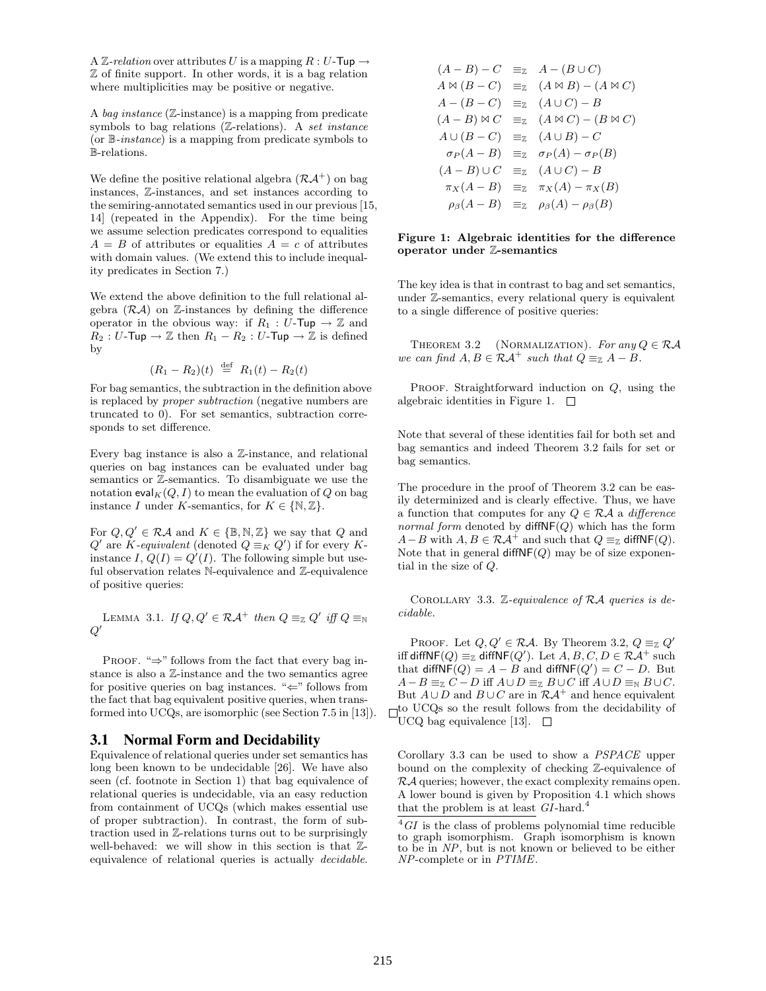A Z-relation over attributes U is a mapping  $R: U$ -Tup  $\rightarrow$ Z of finite support. In other words, it is a bag relation where multiplicities may be positive or negative.

A bag instance  $(\mathbb{Z}\text{-instance})$  is a mapping from predicate symbols to bag relations  $(Z$ -relations). A set instance (or B-instance) is a mapping from predicate symbols to B-relations.

We define the positive relational algebra  $(\mathcal{R} \mathcal{A}^+)$  on bag instances, Z-instances, and set instances according to the semiring-annotated semantics used in our previous [15, 14] (repeated in the Appendix). For the time being we assume selection predicates correspond to equalities  $A = B$  of attributes or equalities  $A = c$  of attributes with domain values. (We extend this to include inequality predicates in Section 7.)

We extend the above definition to the full relational algebra  $(RA)$  on  $\mathbb{Z}$ -instances by defining the difference operator in the obvious way: if  $R_1 : U$ -Tup  $\rightarrow \mathbb{Z}$  and  $R_2 : U$ -Tup  $\rightarrow \mathbb{Z}$  then  $R_1 - R_2 : U$ -Tup  $\rightarrow \mathbb{Z}$  is defined by

$$
(R_1 - R_2)(t) \stackrel{\text{def}}{=} R_1(t) - R_2(t)
$$

For bag semantics, the subtraction in the definition above is replaced by proper subtraction (negative numbers are truncated to 0). For set semantics, subtraction corresponds to set difference.

Every bag instance is also a Z-instance, and relational queries on bag instances can be evaluated under bag semantics or Z-semantics. To disambiguate we use the notation eval<sub>K</sub> $(Q, I)$  to mean the evaluation of Q on bag instance I under K-semantics, for  $K \in \{N, \mathbb{Z}\}.$ 

For  $Q, Q' \in \mathcal{RA}$  and  $K \in \{\mathbb{B}, \mathbb{N}, \mathbb{Z}\}\$  we say that Q and Q' are K-equivalent (denoted  $Q \equiv_K Q'$ ) if for every Kinstance I,  $Q(I) = Q'(I)$ . The following simple but useful observation relates N-equivalence and Z-equivalence of positive queries:

LEMMA 3.1. If 
$$
Q, Q' \in \mathcal{RA}^+
$$
 then  $Q \equiv_{\mathbb{Z}} Q'$  iff  $Q \equiv_{\mathbb{N}} Q'$ 

PROOF. " $\Rightarrow$ " follows from the fact that every bag instance is also a Z-instance and the two semantics agree for positive queries on bag instances. " $\Leftarrow$ " follows from the fact that bag equivalent positive queries, when transformed into UCQs, are isomorphic (see Section 7.5 in [13]).

#### 3.1 Normal Form and Decidability

Equivalence of relational queries under set semantics has long been known to be undecidable [26]. We have also seen (cf. footnote in Section 1) that bag equivalence of relational queries is undecidable, via an easy reduction from containment of UCQs (which makes essential use of proper subtraction). In contrast, the form of subtraction used in Z-relations turns out to be surprisingly well-behaved: we will show in this section is that Zequivalence of relational queries is actually decidable.

$$
(A - B) - C \equiv_{\mathbb{Z}} A - (B \cup C)
$$
  
\n
$$
A \bowtie (B - C) \equiv_{\mathbb{Z}} (A \bowtie B) - (A \bowtie C)
$$
  
\n
$$
A - (B - C) \equiv_{\mathbb{Z}} (A \cup C) - B
$$
  
\n
$$
(A - B) \bowtie C \equiv_{\mathbb{Z}} (A \bowtie C) - (B \bowtie C)
$$
  
\n
$$
A \cup (B - C) \equiv_{\mathbb{Z}} (A \cup B) - C
$$
  
\n
$$
\sigma_P(A - B) \equiv_{\mathbb{Z}} \sigma_P(A) - \sigma_P(B)
$$
  
\n
$$
(A - B) \cup C \equiv_{\mathbb{Z}} (A \cup C) - B
$$
  
\n
$$
\pi_X(A - B) \equiv_{\mathbb{Z}} \pi_X(A) - \pi_X(B)
$$
  
\n
$$
\rho_\beta(A - B) \equiv_{\mathbb{Z}} \rho_\beta(A) - \rho_\beta(B)
$$

#### Figure 1: Algebraic identities for the difference operator under Z-semantics

The key idea is that in contrast to bag and set semantics, under Z-semantics, every relational query is equivalent to a single difference of positive queries:

THEOREM 3.2 (NORMALIZATION). For any  $Q \in \mathcal{RA}$ we can find  $A, B \in \mathcal{R} \mathcal{A}^+$  such that  $Q \equiv_{\mathbb{Z}} A - B$ .

PROOF. Straightforward induction on  $Q$ , using the algebraic identities in Figure 1.  $\Box$ 

Note that several of these identities fail for both set and bag semantics and indeed Theorem 3.2 fails for set or bag semantics.

The procedure in the proof of Theorem 3.2 can be easily determinized and is clearly effective. Thus, we have a function that computes for any  $Q \in \mathcal{RA}$  a difference normal form denoted by  $diffNF(Q)$  which has the form  $A-B$  with  $A, B \in \mathcal{RA}^+$  and such that  $Q \equiv_{\mathbb{Z}} \text{diffNF}(Q)$ . Note that in general  $diffNF(Q)$  may be of size exponential in the size of Q.

COROLLARY 3.3. Z-equivalence of  $R\mathcal{A}$  queries is decidable.

PROOF. Let  $Q, Q' \in \mathcal{RA}$ . By Theorem 3.2,  $Q \equiv_{\mathbb{Z}} Q'$ iff diffNF(Q)  $\equiv_{\mathbb{Z}}$  diffNF(Q'). Let  $A,B,C,D\in\mathcal{RA}^+$  such that diffNF(Q) =  $A - B$  and diffNF(Q') =  $C - D$ . But  $A-B \equiv_{\mathbb{Z}} C-D$  iff  $A\cup D \equiv_{\mathbb{Z}} B\cup C$  iff  $A\cup D \equiv_{\mathbb{N}} B\cup C$ . But  $A \cup D$  and  $B \cup C$  are in  $R\mathcal{A}^+$  and hence equivalent  $\Box$  to UCQs so the result follows from the decidability of UCQ bag equivalence [13].  $\square$ 

Corollary 3.3 can be used to show a PSPACE upper bound on the complexity of checking Z-equivalence of RA queries; however, the exact complexity remains open. A lower bound is given by Proposition 4.1 which shows that the problem is at least  $GI$ -hard.<sup>4</sup>

 ${}^{4}GI$  is the class of problems polynomial time reducible to graph isomorphism. Graph isomorphism is known to be in NP, but is not known or believed to be either NP-complete or in PTIME.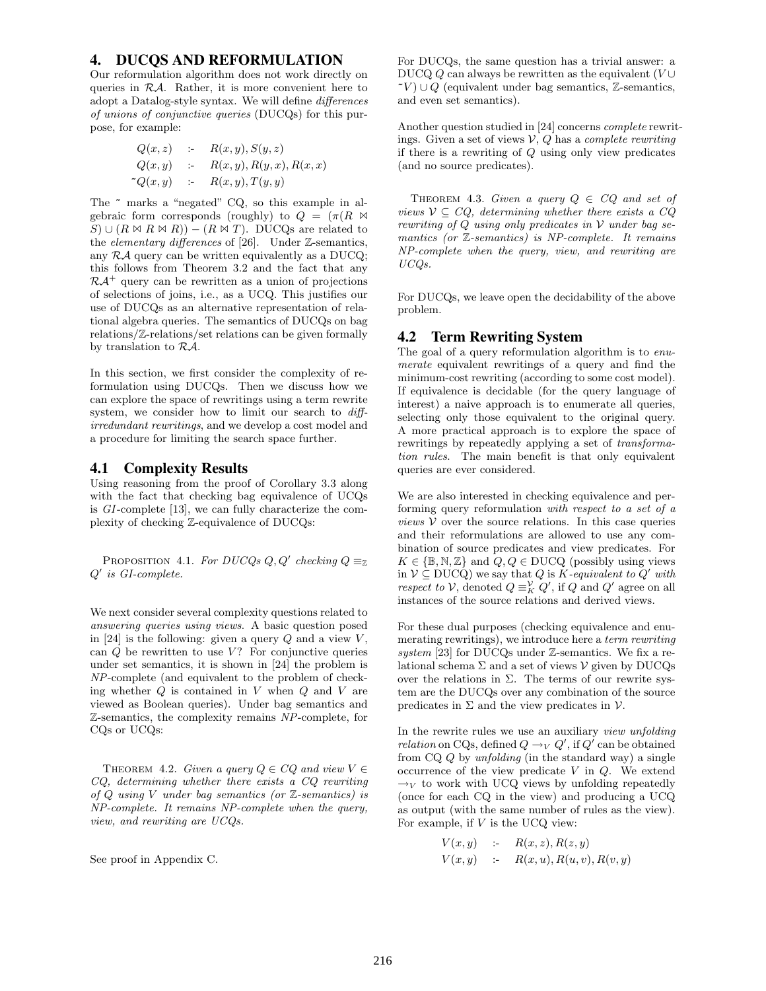### 4. DUCQS AND REFORMULATION

Our reformulation algorithm does not work directly on queries in  $R\mathcal{A}$ . Rather, it is more convenient here to adopt a Datalog-style syntax. We will define differences of unions of conjunctive queries (DUCQs) for this purpose, for example:

$$
Q(x, z) := R(x, y), S(y, z)
$$
  
\n
$$
Q(x, y) := R(x, y), R(y, x), R(x, x)
$$
  
\n
$$
\sim Q(x, y) := R(x, y), T(y, y)
$$

The ~ marks a "negated" CQ, so this example in algebraic form corresponds (roughly) to  $Q = (\pi (R \bowtie$  $S) \cup (R \bowtie R \bowtie R) - (R \bowtie T)$ . DUCQs are related to the *elementary differences* of  $[26]$ . Under Z-semantics, any  $R\mathcal{A}$  query can be written equivalently as a DUCQ; this follows from Theorem 3.2 and the fact that any  $R\mathcal{A}^+$  query can be rewritten as a union of projections of selections of joins, i.e., as a UCQ. This justifies our use of DUCQs as an alternative representation of relational algebra queries. The semantics of DUCQs on bag relations/Z-relations/set relations can be given formally by translation to RA.

In this section, we first consider the complexity of reformulation using DUCQs. Then we discuss how we can explore the space of rewritings using a term rewrite system, we consider how to limit our search to diffirredundant rewritings, and we develop a cost model and a procedure for limiting the search space further.

#### 4.1 Complexity Results

Using reasoning from the proof of Corollary 3.3 along with the fact that checking bag equivalence of UCQs is GI-complete [13], we can fully characterize the complexity of checking Z-equivalence of DUCQs:

PROPOSITION 4.1. For DUCQs Q, Q' checking  $Q \equiv_{\mathbb{Z}}$ Q 0 is GI-complete.

We next consider several complexity questions related to answering queries using views. A basic question posed in [24] is the following: given a query  $Q$  and a view  $V$ , can  $Q$  be rewritten to use  $V$ ? For conjunctive queries under set semantics, it is shown in [24] the problem is NP-complete (and equivalent to the problem of checking whether  $Q$  is contained in  $V$  when  $Q$  and  $V$  are viewed as Boolean queries). Under bag semantics and Z-semantics, the complexity remains NP-complete, for CQs or UCQs:

THEOREM 4.2. Given a query  $Q \in CQ$  and view  $V \in$ CQ, determining whether there exists a CQ rewriting of  $Q$  using  $V$  under bag semantics (or  $\mathbb{Z}$ -semantics) is NP-complete. It remains NP-complete when the query, view, and rewriting are UCQs.

See proof in Appendix C.

For DUCQs, the same question has a trivial answer: a DUCQ  $Q$  can always be rewritten as the equivalent  $(V \cup$  $\tau$ V) ∪ Q (equivalent under bag semantics, Z-semantics, and even set semantics).

Another question studied in [24] concerns complete rewritings. Given a set of views  $V, Q$  has a *complete rewriting* if there is a rewriting of Q using only view predicates (and no source predicates).

THEOREM 4.3. Given a query  $Q \in CQ$  and set of views  $V \subseteq CQ$ , determining whether there exists a  $CQ$ rewriting of  $Q$  using only predicates in  $V$  under bag semantics (or  $\mathbb{Z}$ -semantics) is NP-complete. It remains NP-complete when the query, view, and rewriting are UCQs.

For DUCQs, we leave open the decidability of the above problem.

## 4.2 Term Rewriting System

The goal of a query reformulation algorithm is to enumerate equivalent rewritings of a query and find the minimum-cost rewriting (according to some cost model). If equivalence is decidable (for the query language of interest) a naive approach is to enumerate all queries, selecting only those equivalent to the original query. A more practical approach is to explore the space of rewritings by repeatedly applying a set of transformation rules. The main benefit is that only equivalent queries are ever considered.

We are also interested in checking equivalence and performing query reformulation with respect to a set of a *views*  $V$  over the source relations. In this case queries and their reformulations are allowed to use any combination of source predicates and view predicates. For  $K \in \{ \mathbb{B}, \mathbb{N}, \mathbb{Z} \}$  and  $Q, Q \in \text{DUCQ}$  (possibly using views in  $V \subseteq \text{DUCQ}$ ) we say that Q is K-equivalent to Q' with respect to V, denoted  $Q \equiv_K^{\mathcal{V}} Q'$ , if Q and Q' agree on all instances of the source relations and derived views.

For these dual purposes (checking equivalence and enumerating rewritings), we introduce here a *term rewriting* system [23] for DUCQs under  $\mathbb{Z}$ -semantics. We fix a relational schema  $\Sigma$  and a set of views  $\mathcal V$  given by DUCQs over the relations in  $\Sigma$ . The terms of our rewrite system are the DUCQs over any combination of the source predicates in  $\Sigma$  and the view predicates in  $\mathcal V$ .

In the rewrite rules we use an auxiliary view unfolding *relation* on CQs, defined  $Q \rightarrow_V Q'$ , if  $Q'$  can be obtained from  $CQ$  by unfolding (in the standard way) a single occurrence of the view predicate  $V$  in  $Q$ . We extend  $\rightarrow_V$  to work with UCQ views by unfolding repeatedly (once for each CQ in the view) and producing a UCQ as output (with the same number of rules as the view). For example, if  $V$  is the UCQ view:

$$
V(x, y) \quad \therefore \quad R(x, z), R(z, y)
$$
  

$$
V(x, y) \quad \therefore \quad R(x, u), R(u, v), R(v, y)
$$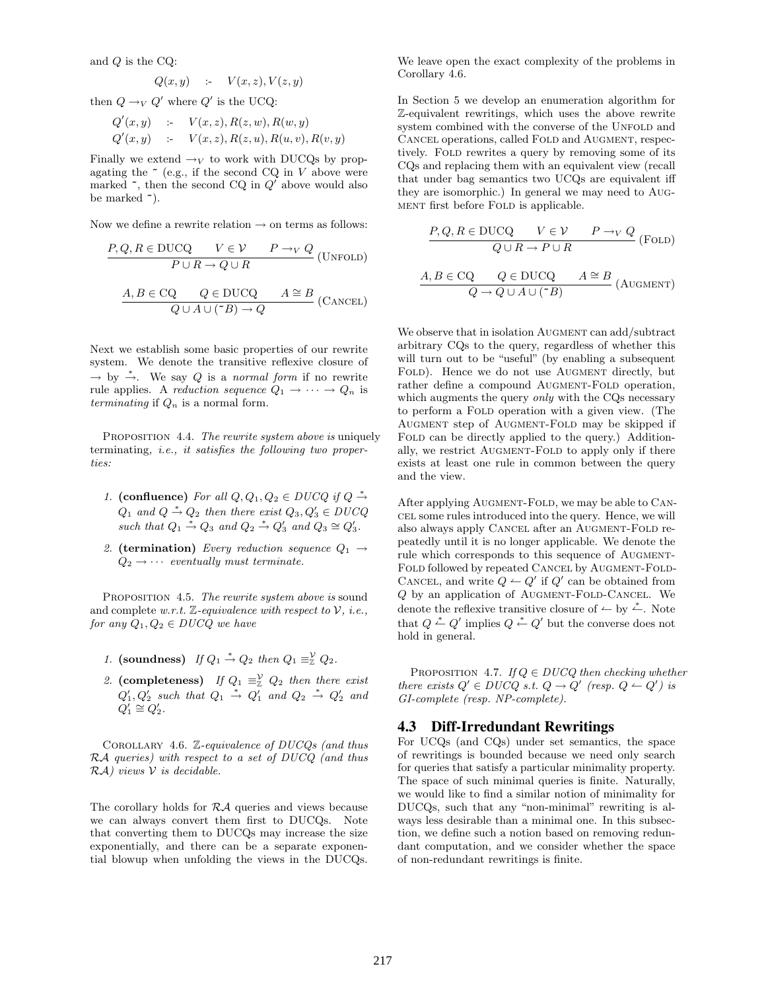and  $Q$  is the CQ:

$$
Q(x,y) \quad \text{ := } \quad V(x,z), V(z,y)
$$

then  $Q \rightarrow_V Q'$  where  $Q'$  is the UCQ:

$$
\begin{array}{lcl} Q'(x,y) & \mathrel{\mathop{:}}=& V(x,z), R(z,w), R(w,y) \\ Q'(x,y) & \mathrel{\mathop{:}}=& V(x,z), R(z,u), R(u,v), R(v,y) \end{array}
$$

Finally we extend  $\rightarrow_V$  to work with DUCQs by propagating the  $\tilde{ }$  (e.g., if the second CQ in V above were marked  $\tilde{\phantom{a}}$ , then the second CQ in  $Q'$  above would also be marked  $\tilde{\phantom{a}}$ ).

Now we define a rewrite relation  $\rightarrow$  on terms as follows:

$$
\begin{array}{ccc}\nP, Q, R \in \text{DUCQ} & V \in \mathcal{V} & P \to_V Q \\
& P \cup R \to Q \cup R & \end{array} \text{(UNFOLD)}
$$
\n
$$
\begin{array}{ccc}\nA, B \in \text{CQ} & Q \in \text{DUCQ} & A \cong B \\
& Q \cup A \cup (\ulcorner B) \to Q & \end{array} \text{(CANCEL)}
$$

Next we establish some basic properties of our rewrite system. We denote the transitive reflexive closure of  $\rightarrow$  by  $\stackrel{*}{\rightarrow}$ . We say Q is a normal form if no rewrite rule applies. A reduction sequence  $Q_1 \rightarrow \cdots \rightarrow Q_n$  is terminating if  $Q_n$  is a normal form.

PROPOSITION 4.4. The rewrite system above is uniquely terminating, i.e., it satisfies the following two properties:

- 1. (confluence) For all  $Q, Q_1, Q_2 \in DUCQ$  if  $Q \stackrel{*}{\rightarrow}$  $Q_1$  and  $Q \stackrel{*}{\rightarrow} Q_2$  then there exist  $Q_3, Q'_3 \in DUCQ$ such that  $Q_1 \stackrel{*}{\rightarrow} Q_3$  and  $Q_2 \stackrel{*}{\rightarrow} Q'_3$  and  $Q_3 \cong Q'_3$ .
- 2. (termination) Every reduction sequence  $Q_1 \rightarrow$  $Q_2 \rightarrow \cdots$  eventually must terminate.

PROPOSITION 4.5. The rewrite system above is sound and complete w.r.t.  $\mathbb{Z}\text{-}equivalence$  with respect to  $\mathcal{V}$ , *i.e.*, for any  $Q_1, Q_2 \in DUCQ$  we have

- 1. (soundness) If  $Q_1 \stackrel{*}{\rightarrow} Q_2$  then  $Q_1 \equiv_{\mathbb{Z}}^{\mathcal{V}} Q_2$ .
- 2. (completeness) If  $Q_1 \equiv_{\mathbb{Z}}^{\mathcal{V}} Q_2$  then there exist  $Q'_1, Q'_2$  such that  $Q_1 \stackrel{*}{\rightarrow} Q'_1$  and  $Q_2 \stackrel{*}{\rightarrow} Q'_2$  and  $Q'_1 \cong Q'_2.$

COROLLARY 4.6. Z-equivalence of  $DUCQs$  (and thus RA queries) with respect to a set of DUCQ (and thus  $RA$ ) views  $V$  is decidable.

The corollary holds for  $R\mathcal{A}$  queries and views because we can always convert them first to DUCQs. Note that converting them to DUCQs may increase the size exponentially, and there can be a separate exponential blowup when unfolding the views in the DUCQs.

We leave open the exact complexity of the problems in Corollary 4.6.

In Section 5 we develop an enumeration algorithm for Z-equivalent rewritings, which uses the above rewrite system combined with the converse of the UNFOLD and CANCEL operations, called FOLD and AUGMENT, respectively. FOLD rewrites a query by removing some of its CQs and replacing them with an equivalent view (recall that under bag semantics two UCQs are equivalent iff they are isomorphic.) In general we may need to Aug-MENT first before FOLD is applicable.

$$
\frac{P,Q,R \in \text{DUCQ} \qquad V \in \mathcal{V} \qquad P \to_V Q}{Q \cup R \to P \cup R} \text{ (FOLD)}
$$

$$
\frac{A, B \in \text{CQ}}{Q \to Q \cup A \cup (\tilde{\ }
$$

We observe that in isolation AUGMENT can add/subtract arbitrary CQs to the query, regardless of whether this will turn out to be "useful" (by enabling a subsequent FOLD). Hence we do not use AUGMENT directly, but rather define a compound AUGMENT-FOLD operation, which augments the query *only* with the CQs necessary to perform a FOLD operation with a given view. (The Augment step of Augment-Fold may be skipped if FOLD can be directly applied to the query.) Additionally, we restrict AUGMENT-FOLD to apply only if there exists at least one rule in common between the query and the view.

After applying AUGMENT-FOLD, we may be able to CANcel some rules introduced into the query. Hence, we will also always apply CANCEL after an AUGMENT-FOLD repeatedly until it is no longer applicable. We denote the rule which corresponds to this sequence of AUGMENT-FOLD followed by repeated CANCEL by AUGMENT-FOLD-CANCEL, and write  $Q \leftarrow Q'$  if  $Q'$  can be obtained from Q by an application of Augment-Fold-Cancel. We denote the reflexive transitive closure of  $\leftarrow$  by  $\stackrel{*}{\leftarrow}$ . Note that  $Q \stackrel{*}{\leftarrow} Q'$  implies  $Q \stackrel{*}{\leftarrow} Q'$  but the converse does not hold in general.

PROPOSITION 4.7. If  $Q \in DUCQ$  then checking whether there exists  $Q' \in DUCQ$  s.t.  $Q \to Q'$  (resp.  $Q \leftarrow Q'$ ) is GI-complete (resp. NP-complete).

#### 4.3 Diff-Irredundant Rewritings

For UCQs (and CQs) under set semantics, the space of rewritings is bounded because we need only search for queries that satisfy a particular minimality property. The space of such minimal queries is finite. Naturally, we would like to find a similar notion of minimality for DUCQs, such that any "non-minimal" rewriting is always less desirable than a minimal one. In this subsection, we define such a notion based on removing redundant computation, and we consider whether the space of non-redundant rewritings is finite.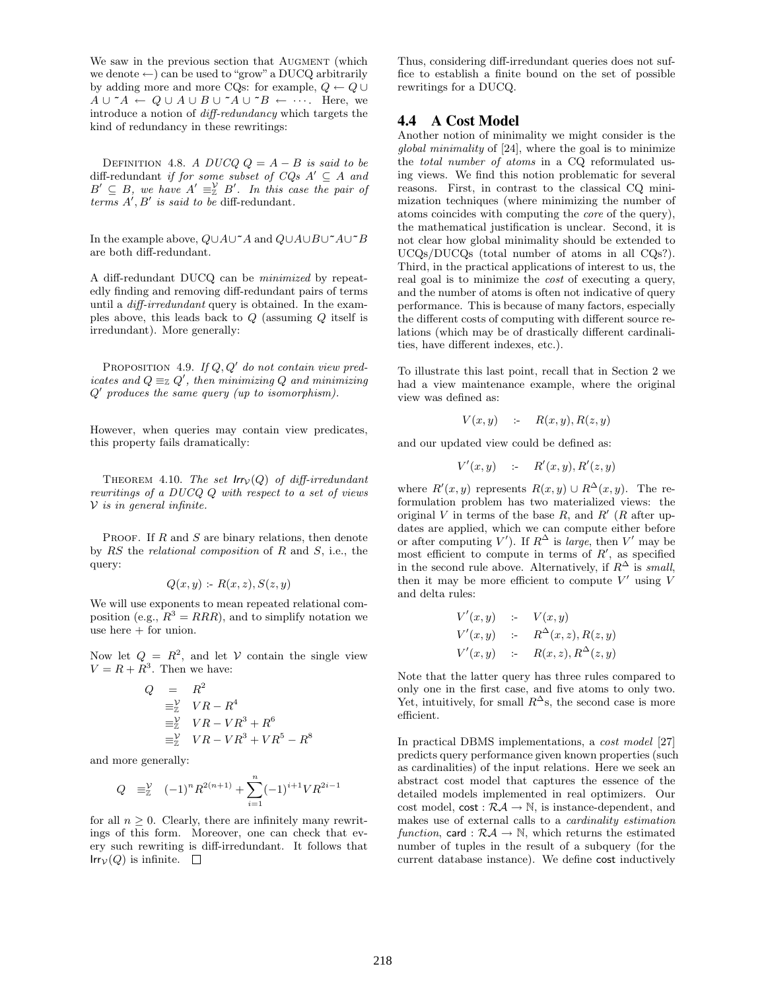We saw in the previous section that AUGMENT (which we denote  $\leftarrow$ ) can be used to "grow" a DUCQ arbitrarily by adding more and more CQs: for example,  $Q \leftarrow Q \cup$  $A \cup \tilde{A} \leftarrow Q \cup A \cup B \cup \tilde{A} \cup \tilde{B} \leftarrow \cdots$ . Here, we introduce a notion of diff-redundancy which targets the kind of redundancy in these rewritings:

DEFINITION 4.8. A DUCQ  $Q = A - B$  is said to be diff-redundant if for some subset of  $CQs$   $A' \subseteq A$  and  $B' \subseteq B$ , we have  $A' \equiv_{\mathbb{Z}}^{\mathcal{V}} B'$ . In this case the pair of terms  $A', B'$  is said to be diff-redundant.

In the example above,  $Q \cup A \cup \neg A$  and  $Q \cup A \cup B \cup \neg A \cup \neg B$ are both diff-redundant.

A diff-redundant DUCQ can be minimized by repeatedly finding and removing diff-redundant pairs of terms until a diff-irredundant query is obtained. In the examples above, this leads back to Q (assuming Q itself is irredundant). More generally:

PROPOSITION 4.9. If  $Q, Q'$  do not contain view pred*icates and*  $Q \equiv_{\mathbb{Z}} Q'$ , then minimizing Q and minimizing Q' produces the same query (up to isomorphism).

However, when queries may contain view predicates, this property fails dramatically:

THEOREM 4.10. The set  $\text{Irr}_{\mathcal{V}}(Q)$  of diff-irredundant rewritings of a DUCQ Q with respect to a set of views  $V$  is in general infinite.

PROOF. If  $R$  and  $S$  are binary relations, then denote by  $RS$  the *relational composition* of  $R$  and  $S$ , i.e., the query:

$$
Q(x,y) \text{ :- } R(x,z), S(z,y)
$$

We will use exponents to mean repeated relational composition (e.g.,  $R^3 = RRR$ ), and to simplify notation we use here  $+$  for union.

Now let  $Q = R^2$ , and let V contain the single view  $V = R + R^3$ . Then we have:

$$
Q = R2
$$
  
\n
$$
\equiv_{\mathbb{Z}}^{V} VR - R4
$$
  
\n
$$
\equiv_{\mathbb{Z}}^{V} VR - VR3 + R6
$$
  
\n
$$
\equiv_{\mathbb{Z}}^{V} VR - VR3 + VR5 - R8
$$

and more generally:

$$
Q \equiv_{\mathbb{Z}}^{\mathcal{V}} (-1)^n R^{2(n+1)} + \sum_{i=1}^n (-1)^{i+1} V R^{2i-1}
$$

for all  $n \geq 0$ . Clearly, there are infinitely many rewritings of this form. Moreover, one can check that every such rewriting is diff-irredundant. It follows that Irr $\nu(Q)$  is infinite.  $\square$ 

Thus, considering diff-irredundant queries does not suffice to establish a finite bound on the set of possible rewritings for a DUCQ.

#### 4.4 A Cost Model

Another notion of minimality we might consider is the global minimality of [24], where the goal is to minimize the total number of atoms in a CQ reformulated using views. We find this notion problematic for several reasons. First, in contrast to the classical CQ minimization techniques (where minimizing the number of atoms coincides with computing the core of the query), the mathematical justification is unclear. Second, it is not clear how global minimality should be extended to UCQs/DUCQs (total number of atoms in all CQs?). Third, in the practical applications of interest to us, the real goal is to minimize the cost of executing a query, and the number of atoms is often not indicative of query performance. This is because of many factors, especially the different costs of computing with different source relations (which may be of drastically different cardinalities, have different indexes, etc.).

To illustrate this last point, recall that in Section 2 we had a view maintenance example, where the original view was defined as:

$$
V(x, y) \quad \therefore \quad R(x, y), R(z, y)
$$

and our updated view could be defined as:

$$
V'(x,y) \quad \text{ := } \quad R'(x,y), R'(z,y)
$$

where  $R'(x, y)$  represents  $R(x, y) \cup R^{\Delta}(x, y)$ . The reformulation problem has two materialized views: the original V in terms of the base  $R$ , and  $R'$  ( $R$  after updates are applied, which we can compute either before or after computing  $V'$ ). If  $R^{\Delta}$  is *large*, then  $V'$  may be most efficient to compute in terms of  $R'$ , as specified in the second rule above. Alternatively, if  $R^{\Delta}$  is small, then it may be more efficient to compute  $V'$  using V and delta rules:

$$
V'(x,y) := V(x,y)
$$
  
\n
$$
V'(x,y) := R^{\Delta}(x,z), R(z,y)
$$
  
\n
$$
V'(x,y) := R(x,z), R^{\Delta}(z,y)
$$

Note that the latter query has three rules compared to only one in the first case, and five atoms to only two. Yet, intuitively, for small  $R^{\Delta}$ s, the second case is more efficient.

In practical DBMS implementations, a cost model [27] predicts query performance given known properties (such as cardinalities) of the input relations. Here we seek an abstract cost model that captures the essence of the detailed models implemented in real optimizers. Our cost model,  $cost : R\mathcal{A} \rightarrow \mathbb{N}$ , is instance-dependent, and makes use of external calls to a cardinality estimation function, card :  $\mathcal{RA} \rightarrow \mathbb{N}$ , which returns the estimated number of tuples in the result of a subquery (for the current database instance). We define cost inductively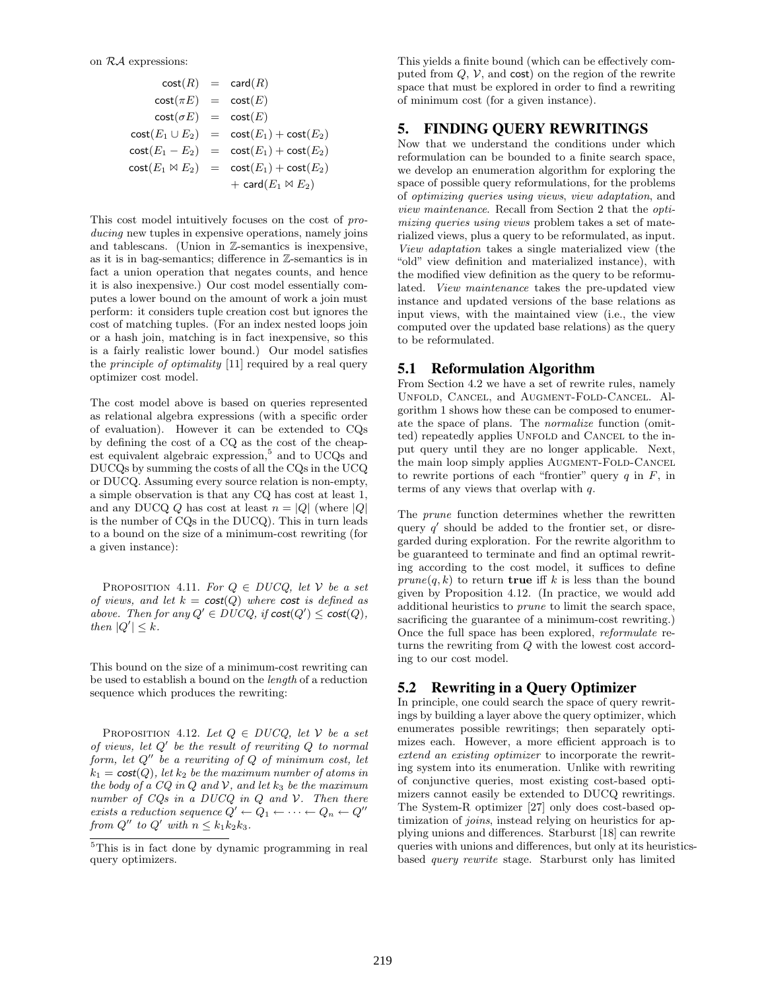on RA expressions:

$$
\begin{array}{rcl} \small \mathsf{cost}(R) & = & \small \mathsf{card}(R) \\ \small \mathsf{cost}(\pi E) & = & \small \mathsf{cost}(E) \\ \small \mathsf{cost}(\sigma E) & = & \small \mathsf{cost}(E) \\ \small \mathsf{cost}(E_1 \cup E_2) & = & \small \mathsf{cost}(E_1) + \small \mathsf{cost}(E_2) \\ \small \mathsf{cost}(E_1 - E_2) & = & \small \mathsf{cost}(E_1) + \small \mathsf{cost}(E_2) \\ \small \mathsf{cost}(E_1 \bowtie E_2) & = & \small \mathsf{cost}(E_1) + \small \mathsf{cost}(E_2) \\ & & + & \small \mathsf{card}(E_1 \bowtie E_2) \end{array}
$$

This cost model intuitively focuses on the cost of producing new tuples in expensive operations, namely joins and tablescans. (Union in Z-semantics is inexpensive, as it is in bag-semantics; difference in Z-semantics is in fact a union operation that negates counts, and hence it is also inexpensive.) Our cost model essentially computes a lower bound on the amount of work a join must perform: it considers tuple creation cost but ignores the cost of matching tuples. (For an index nested loops join or a hash join, matching is in fact inexpensive, so this is a fairly realistic lower bound.) Our model satisfies the principle of optimality [11] required by a real query optimizer cost model.

The cost model above is based on queries represented as relational algebra expressions (with a specific order of evaluation). However it can be extended to CQs by defining the cost of a CQ as the cost of the cheapest equivalent algebraic expression,<sup>5</sup> and to UCQs and DUCQs by summing the costs of all the CQs in the UCQ or DUCQ. Assuming every source relation is non-empty, a simple observation is that any CQ has cost at least 1, and any DUCQ Q has cost at least  $n = |Q|$  (where |Q| is the number of CQs in the DUCQ). This in turn leads to a bound on the size of a minimum-cost rewriting (for a given instance):

PROPOSITION 4.11. For  $Q \in DUCQ$ , let V be a set of views, and let  $k = \text{cost}(Q)$  where cost is defined as above. Then for any  $Q' \in DUCQ$ , if  $cost(Q') \leq cost(Q)$ , then  $|Q'| \leq k$ .

This bound on the size of a minimum-cost rewriting can be used to establish a bound on the length of a reduction sequence which produces the rewriting:

PROPOSITION 4.12. Let  $Q \in DUCQ$ , let  $V$  be a set of views, let  $Q'$  be the result of rewriting  $Q$  to normal form, let  $Q''$  be a rewriting of  $Q$  of minimum cost, let  $k_1 = \text{cost}(Q)$ , let  $k_2$  be the maximum number of atoms in the body of a  $CQ$  in  $Q$  and  $V$ , and let  $k_3$  be the maximum number of  $CQs$  in a  $DUCQ$  in  $Q$  and  $V$ . Then there exists a reduction sequence  $Q' \leftarrow Q_1 \leftarrow \cdots \leftarrow Q_n \leftarrow Q''$ from  $Q''$  to  $Q'$  with  $n \leq k_1 k_2 k_3$ .

This yields a finite bound (which can be effectively computed from  $Q, V$ , and cost) on the region of the rewrite space that must be explored in order to find a rewriting of minimum cost (for a given instance).

## 5. FINDING QUERY REWRITINGS

Now that we understand the conditions under which reformulation can be bounded to a finite search space, we develop an enumeration algorithm for exploring the space of possible query reformulations, for the problems of optimizing queries using views, view adaptation, and view maintenance. Recall from Section 2 that the optimizing queries using views problem takes a set of materialized views, plus a query to be reformulated, as input. View adaptation takes a single materialized view (the "old" view definition and materialized instance), with the modified view definition as the query to be reformulated. View maintenance takes the pre-updated view instance and updated versions of the base relations as input views, with the maintained view (i.e., the view computed over the updated base relations) as the query to be reformulated.

#### 5.1 Reformulation Algorithm

From Section 4.2 we have a set of rewrite rules, namely Unfold, Cancel, and Augment-Fold-Cancel. Algorithm 1 shows how these can be composed to enumerate the space of plans. The normalize function (omitted) repeatedly applies UNFOLD and CANCEL to the input query until they are no longer applicable. Next, the main loop simply applies AUGMENT-FOLD-CANCEL to rewrite portions of each "frontier" query  $q$  in  $F$ , in terms of any views that overlap with q.

The prune function determines whether the rewritten query  $q'$  should be added to the frontier set, or disregarded during exploration. For the rewrite algorithm to be guaranteed to terminate and find an optimal rewriting according to the cost model, it suffices to define  $prune(q, k)$  to return **true** if k is less than the bound given by Proposition 4.12. (In practice, we would add additional heuristics to prune to limit the search space, sacrificing the guarantee of a minimum-cost rewriting.) Once the full space has been explored, reformulate returns the rewriting from Q with the lowest cost according to our cost model.

## 5.2 Rewriting in a Query Optimizer

In principle, one could search the space of query rewritings by building a layer above the query optimizer, which enumerates possible rewritings; then separately optimizes each. However, a more efficient approach is to extend an existing optimizer to incorporate the rewriting system into its enumeration. Unlike with rewriting of conjunctive queries, most existing cost-based optimizers cannot easily be extended to DUCQ rewritings. The System-R optimizer [27] only does cost-based optimization of *joins*, instead relying on heuristics for applying unions and differences. Starburst [18] can rewrite queries with unions and differences, but only at its heuristicsbased query rewrite stage. Starburst only has limited

<sup>5</sup>This is in fact done by dynamic programming in real query optimizers.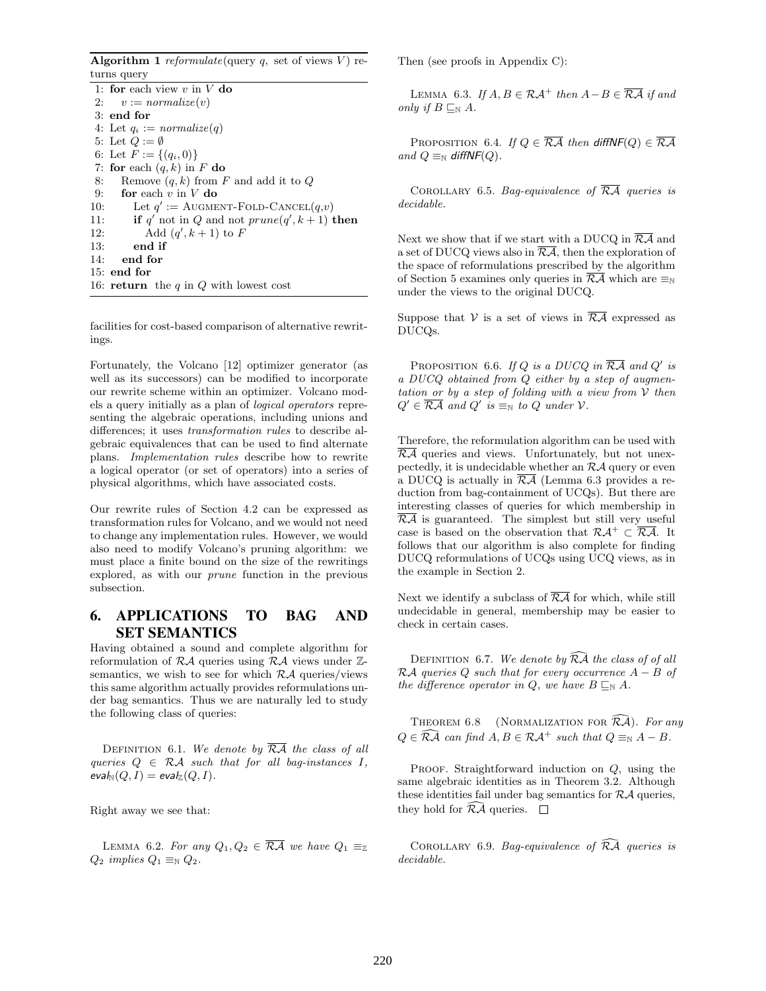Algorithm 1 reformulate (query q, set of views  $V$ ) returns query

1: for each view  $v$  in  $V$  do 2:  $v := normalize(v)$ 3: end for 4: Let  $q_i := normalize(q)$ 5: Let  $Q := \emptyset$ 6: Let  $F := \{(q_i, 0)\}\$ 7: for each  $(q, k)$  in F do 8: Remove  $(q, k)$  from F and add it to Q 9: for each  $v$  in  $V$  do 10: Let  $q' := \text{AugMENT-FOLD-CANCEL}(q, v)$ 11: if q' not in Q and not  $prune(q', k + 1)$  then 12: Add  $(q', k+1)$  to F 13: end if 14: end for 15: end for 16: **return** the  $q$  in  $Q$  with lowest cost

facilities for cost-based comparison of alternative rewritings.

Fortunately, the Volcano [12] optimizer generator (as well as its successors) can be modified to incorporate our rewrite scheme within an optimizer. Volcano models a query initially as a plan of logical operators representing the algebraic operations, including unions and differences; it uses transformation rules to describe algebraic equivalences that can be used to find alternate plans. Implementation rules describe how to rewrite a logical operator (or set of operators) into a series of physical algorithms, which have associated costs.

Our rewrite rules of Section 4.2 can be expressed as transformation rules for Volcano, and we would not need to change any implementation rules. However, we would also need to modify Volcano's pruning algorithm: we must place a finite bound on the size of the rewritings explored, as with our prune function in the previous subsection.

# 6. APPLICATIONS TO BAG AND SET SEMANTICS

Having obtained a sound and complete algorithm for reformulation of  $R\mathcal{A}$  queries using  $R\mathcal{A}$  views under  $Z$ semantics, we wish to see for which  $R\mathcal{A}$  queries/views this same algorithm actually provides reformulations under bag semantics. Thus we are naturally led to study the following class of queries:

DEFINITION 6.1. We denote by  $\overline{\mathcal{R}A}$  the class of all queries  $Q \in \mathcal{RA}$  such that for all bag-instances I,  $eval_{\mathbb{N}}(Q, I) = eval_{\mathbb{Z}}(Q, I).$ 

Right away we see that:

LEMMA 6.2. For any  $Q_1, Q_2 \in \overline{\mathcal{R}A}$  we have  $Q_1 \equiv_{\mathbb{Z}}$  $Q_2$  implies  $Q_1 \equiv_{\mathbb{N}} Q_2$ .

Then (see proofs in Appendix C):

LEMMA 6.3. If  $A, B \in \mathcal{RA}^+$  then  $A - B \in \overline{\mathcal{RA}}$  if and only if  $B \sqsubseteq_{\mathbb{N}} A$ .

PROPOSITION 6.4. If  $Q \in \overline{\mathcal{R}A}$  then diffNF(Q)  $\in \overline{\mathcal{R}A}$ and  $Q \equiv_{\mathbb{N}} \text{diffNF}(Q)$ .

COROLLARY 6.5. Bag-equivalence of  $\overline{\mathcal{R}A}$  queries is decidable.

Next we show that if we start with a DUCQ in  $\overline{\mathcal{R} \mathcal{A}}$  and a set of DUCQ views also in  $\overline{\mathcal{R}A}$ , then the exploration of the space of reformulations prescribed by the algorithm of Section 5 examines only queries in  $\overline{\mathcal{R}A}$  which are  $\equiv_{\mathbb{N}}$ under the views to the original DUCQ.

Suppose that V is a set of views in  $\overline{\mathcal{R}A}$  expressed as DUCQs.

PROPOSITION 6.6. If Q is a DUCQ in  $\overline{\mathcal{R}A}$  and Q' is a DUCQ obtained from Q either by a step of augmentation or by a step of folding with a view from  $V$  then  $Q' \in \overline{\mathcal{RA}}$  and  $Q'$  is  $\equiv_{\mathbb{N}}$  to Q under  $\mathcal{V}$ .

Therefore, the reformulation algorithm can be used with  $\overline{\mathcal{R}\mathcal{A}}$  queries and views. Unfortunately, but not unexpectedly, it is undecidable whether an  $R\mathcal{A}$  query or even a DUCQ is actually in  $\overline{\mathcal{R}A}$  (Lemma 6.3 provides a reduction from bag-containment of UCQs). But there are interesting classes of queries for which membership in  $\overline{\mathcal{R}\mathcal{A}}$  is guaranteed. The simplest but still very useful case is based on the observation that  $\mathcal{R} \mathcal{A}^+ \subset \overline{\mathcal{R} \mathcal{A}}$ . It follows that our algorithm is also complete for finding DUCQ reformulations of UCQs using UCQ views, as in the example in Section 2.

Next we identify a subclass of  $\overline{\mathcal{R}\mathcal{A}}$  for which, while still undecidable in general, membership may be easier to check in certain cases.

DEFINITION 6.7. We denote by  $\widehat{\mathcal{RA}}$  the class of of all  $R\mathcal{A}$  queries Q such that for every occurrence  $A - B$  of the difference operator in Q, we have  $B \sqsubseteq_{\mathbb{N}} A$ .

THEOREM 6.8 (NORMALIZATION FOR  $\widehat{\mathcal{RA}}$ ). For any  $Q \in \widehat{\mathcal{RA}}$  can find  $A, B \in \mathcal{RA}^+$  such that  $Q \equiv_{\mathbb{N}} A - B$ .

PROOF. Straightforward induction on  $Q$ , using the same algebraic identities as in Theorem 3.2. Although these identities fail under bag semantics for  $RA$  queries, they hold for  $\overline{\mathcal{R}}\overline{\mathcal{A}}$  queries.  $\Box$ 

COROLLARY 6.9. Bag-equivalence of  $\widehat{\mathcal{RA}}$  queries is decidable.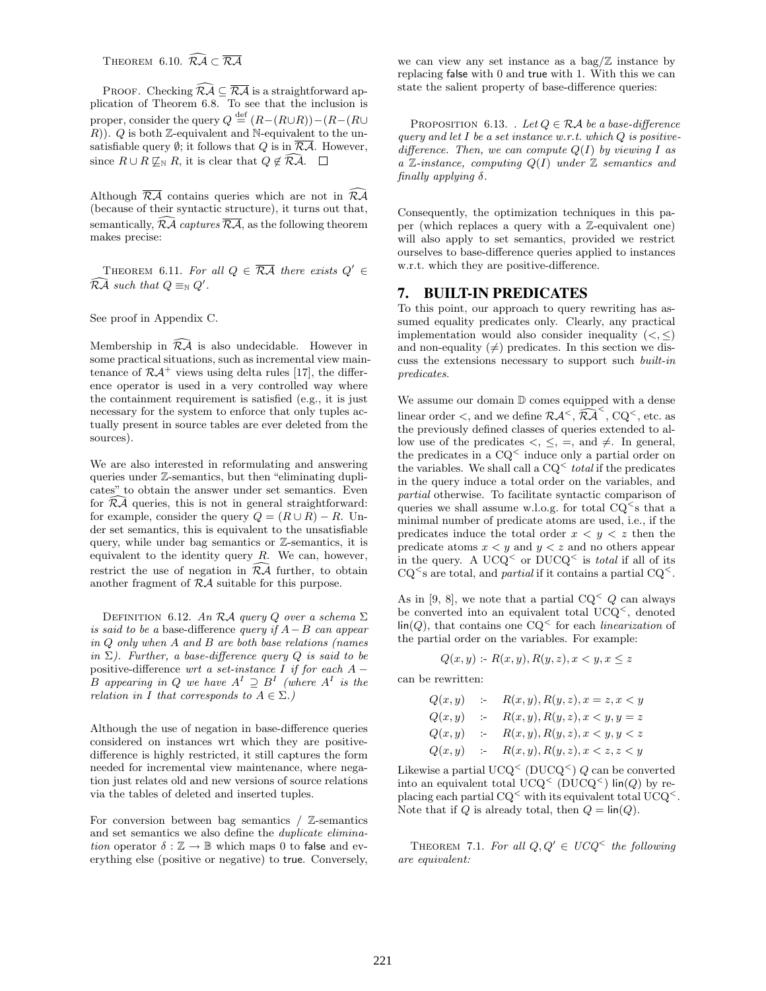THEOREM 6.10.  $\widehat{\mathcal{RA}} \subset \overline{\mathcal{RA}}$ 

PROOF. Checking  $\widehat{\mathcal{RA}} \subseteq \overline{\mathcal{RA}}$  is a straightforward application of Theorem 6.8. To see that the inclusion is proper, consider the query  $Q \stackrel{\text{def}}{=} (R-(R\cup R))-(R-(R\cup R))$  $(R)$ ). Q is both Z-equivalent and N-equivalent to the unsatisfiable query  $\emptyset$ ; it follows that Q is in  $\overline{\mathcal{R}\mathcal{A}}$ . However, since  $R \cup R \not\sqsubseteq_{\mathbb{N}} R$ , it is clear that  $Q \notin \overline{\mathcal{R}} \mathcal{A}$ .  $\square$ 

Although  $\overline{\mathcal{R}\mathcal{A}}$  contains queries which are not in  $\overline{\mathcal{R}\mathcal{A}}$ (because of their syntactic structure), it turns out that, semantically,  $\mathcal{R}\mathcal{A}$  captures  $\mathcal{R}\mathcal{A}$ , as the following theorem makes precise:

THEOREM 6.11. For all  $Q \in \overline{\mathcal{R}A}$  there exists  $Q' \in$  $\widehat{\mathcal{R}A}$  such that  $Q \equiv_{\mathbb{N}} Q'.$ 

See proof in Appendix C.

Membership in  $R\mathcal{A}$  is also undecidable. However in some practical situations, such as incremental view maintenance of  $\mathcal{RA}^+$  views using delta rules [17], the difference operator is used in a very controlled way where the containment requirement is satisfied (e.g., it is just necessary for the system to enforce that only tuples actually present in source tables are ever deleted from the sources).

We are also interested in reformulating and answering queries under Z-semantics, but then "eliminating duplicates" to obtain the answer under set semantics. Even for  $\overline{\mathcal{R}}\overline{\mathcal{A}}$  queries, this is not in general straightforward: for example, consider the query  $Q = (R \cup R) - R$ . Under set semantics, this is equivalent to the unsatisfiable query, while under bag semantics or Z-semantics, it is equivalent to the identity query  $R$ . We can, however, restrict the use of negation in  $\widehat{\mathcal{RA}}$  further, to obtain another fragment of  $R\mathcal{A}$  suitable for this purpose.

DEFINITION 6.12. An RA query Q over a schema  $\Sigma$ is said to be a base-difference query if  $A-B$  can appear in Q only when A and B are both base relations (names in  $\Sigma$ ). Further, a base-difference query Q is said to be positive-difference wrt a set-instance I if for each  $A -$ B appearing in Q we have  $A^I \supseteq B^I$  (where  $A^I$  is the relation in I that corresponds to  $A \in \Sigma$ .)

Although the use of negation in base-difference queries considered on instances wrt which they are positivedifference is highly restricted, it still captures the form needed for incremental view maintenance, where negation just relates old and new versions of source relations via the tables of deleted and inserted tuples.

For conversion between bag semantics  $/$  Z-semantics and set semantics we also define the duplicate elimination operator  $\delta : \mathbb{Z} \to \mathbb{B}$  which maps 0 to false and everything else (positive or negative) to true. Conversely,

we can view any set instance as a  $bag/\mathbb{Z}$  instance by replacing false with 0 and true with 1. With this we can state the salient property of base-difference queries:

PROPOSITION 6.13. . Let  $Q \in \mathcal{RA}$  be a base-difference query and let  $I$  be a set instance w.r.t. which  $Q$  is positivedifference. Then, we can compute  $Q(I)$  by viewing I as a  $\mathbb{Z}\text{-}instance$ , computing  $Q(I)$  under  $\mathbb Z$  semantics and finally applying δ.

Consequently, the optimization techniques in this paper (which replaces a query with a Z-equivalent one) will also apply to set semantics, provided we restrict ourselves to base-difference queries applied to instances w.r.t. which they are positive-difference.

#### 7. BUILT-IN PREDICATES

To this point, our approach to query rewriting has assumed equality predicates only. Clearly, any practical implementation would also consider inequality  $(<, \leq)$ and non-equality  $(\neq)$  predicates. In this section we discuss the extensions necessary to support such built-in predicates.

We assume our domain  $D$  comes equipped with a dense linear order <, and we define  $\mathcal{RA}^{\lt}$ ,  $\widehat{\mathcal{RA}}^{\lt}$ , CQ<sup>\circ</sup>, etc. as the previously defined classes of queries extended to allow use of the predicates  $\lt$ ,  $\leq$ ,  $\equiv$ , and  $\neq$ . In general, the predicates in a  $CQ<sup>0</sup>$  induce only a partial order on the variables. We shall call a  $CQ^{\lt}$  total if the predicates in the query induce a total order on the variables, and partial otherwise. To facilitate syntactic comparison of queries we shall assume w.l.o.g. for total  $CQ^{\lt}$ s that a minimal number of predicate atoms are used, i.e., if the predicates induce the total order  $x < y < z$  then the predicate atoms  $x < y$  and  $y < z$  and no others appear in the query. A UCQ<sup> $\le$ </sup> or DUCQ<sup> $\le$ </sup> is *total* if all of its  $CQ^{\lt}$ s are total, and *partial* if it contains a partial  $CQ^{\lt}$ .

As in [9, 8], we note that a partial  $CQ^{\lt} Q$  can always be converted into an equivalent total  $UCQ^<$ , denoted  $\text{lin}(Q)$ , that contains one  $\text{CQ}^{\text{<}}$  for each *linearization* of the partial order on the variables. For example:

$$
Q(x, y) \text{ :- } R(x, y), R(y, z), x < y, x \leq z
$$

can be rewritten:

$$
Q(x, y) := R(x, y), R(y, z), x = z, x < y
$$
  
\n
$$
Q(x, y) := R(x, y), R(y, z), x < y, y = z
$$
  
\n
$$
Q(x, y) := R(x, y), R(y, z), x < y, y < z
$$
  
\n
$$
Q(x, y) := R(x, y), R(y, z), x < z, z < y
$$

Likewise a partial  $UCQ^{\lt}$  (DUCQ<sup> $\lt$ </sup>) Q can be converted into an equivalent total  $UCQ (DUCQ)$  lin(Q) by replacing each partial  $CQ^{\lt}$  with its equivalent total  $UCQ^{\lt}$ . Note that if Q is already total, then  $Q = \text{lin}(Q)$ .

THEOREM 7.1. For all  $Q, Q' \in UCQ^{\lt}$  the following are equivalent: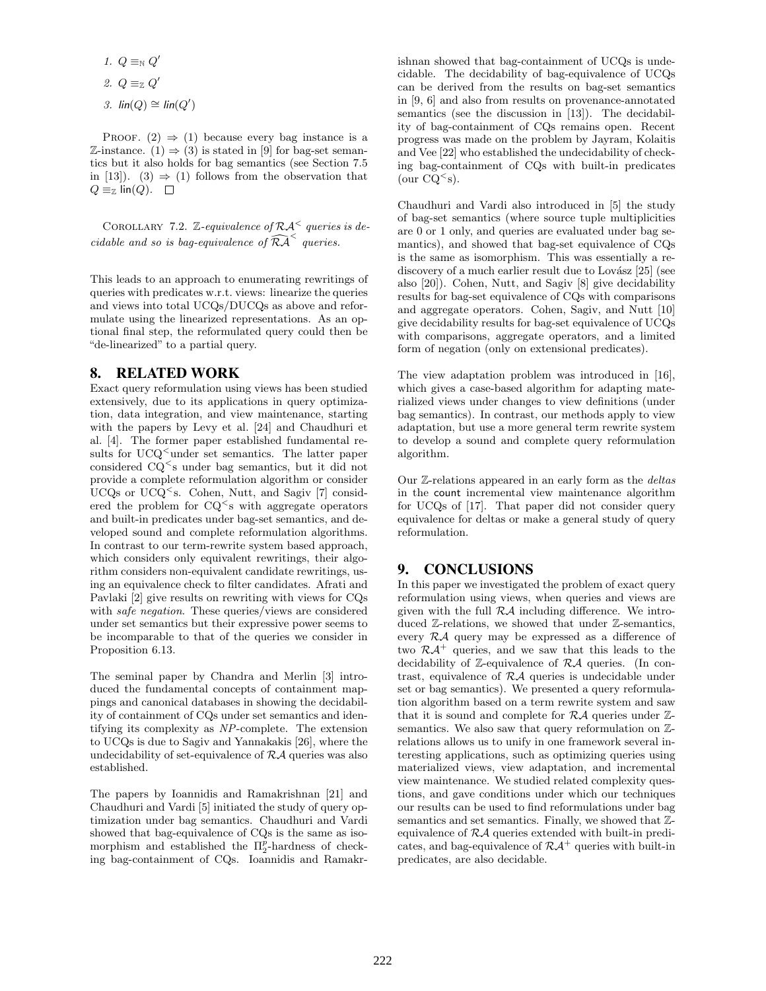\n- 1. 
$$
Q \equiv_{\mathbb{N}} Q'
$$
\n- 2.  $Q \equiv_{\mathbb{Z}} Q'$
\n- 3.  $\text{lin}(Q) \cong \text{lin}(Q')$
\n

PROOF.  $(2) \Rightarrow (1)$  because every bag instance is a  $\mathbb{Z}\text{-instance.}$  (1)  $\Rightarrow$  (3) is stated in [9] for bag-set semantics but it also holds for bag semantics (see Section 7.5 in [13]). (3)  $\Rightarrow$  (1) follows from the observation that  $Q \equiv_{\mathbb{Z}} \text{lin}(Q). \quad \Box$ 

COROLLARY 7.2. Z-equivalence of  $R\mathcal{A}^{\lt}$  queries is decidable and so is bag-equivalence of  $\widehat{\mathcal{R}A}^{\lt}$  queries.

This leads to an approach to enumerating rewritings of queries with predicates w.r.t. views: linearize the queries and views into total UCQs/DUCQs as above and reformulate using the linearized representations. As an optional final step, the reformulated query could then be "de-linearized" to a partial query.

#### 8. RELATED WORK

Exact query reformulation using views has been studied extensively, due to its applications in query optimization, data integration, and view maintenance, starting with the papers by Levy et al. [24] and Chaudhuri et al. [4]. The former paper established fundamental results for UCQ<sup><</sup>under set semantics. The latter paper considered CQ<sup>&</sup>lt;s under bag semantics, but it did not provide a complete reformulation algorithm or consider UCQs or  $UCQ^<$ s. Cohen, Nutt, and Sagiv [7] considered the problem for  $CQ^{\lt}$ s with aggregate operators and built-in predicates under bag-set semantics, and developed sound and complete reformulation algorithms. In contrast to our term-rewrite system based approach, which considers only equivalent rewritings, their algorithm considers non-equivalent candidate rewritings, using an equivalence check to filter candidates. Afrati and Pavlaki [2] give results on rewriting with views for CQs with safe negation. These queries/views are considered under set semantics but their expressive power seems to be incomparable to that of the queries we consider in Proposition 6.13.

The seminal paper by Chandra and Merlin [3] introduced the fundamental concepts of containment mappings and canonical databases in showing the decidability of containment of CQs under set semantics and identifying its complexity as NP-complete. The extension to UCQs is due to Sagiv and Yannakakis [26], where the undecidability of set-equivalence of  $RA$  queries was also established.

The papers by Ioannidis and Ramakrishnan [21] and Chaudhuri and Vardi [5] initiated the study of query optimization under bag semantics. Chaudhuri and Vardi showed that bag-equivalence of CQs is the same as isomorphism and established the  $\Pi_2^{\vec{p}}$ -hardness of checking bag-containment of CQs. Ioannidis and Ramakrishnan showed that bag-containment of UCQs is undecidable. The decidability of bag-equivalence of UCQs can be derived from the results on bag-set semantics in [9, 6] and also from results on provenance-annotated semantics (see the discussion in [13]). The decidability of bag-containment of CQs remains open. Recent progress was made on the problem by Jayram, Kolaitis and Vee [22] who established the undecidability of checking bag-containment of CQs with built-in predicates (our  $CQ^{\lt}$ s).

Chaudhuri and Vardi also introduced in [5] the study of bag-set semantics (where source tuple multiplicities are 0 or 1 only, and queries are evaluated under bag semantics), and showed that bag-set equivalence of CQs is the same as isomorphism. This was essentially a rediscovery of a much earlier result due to Lovász  $[25]$  (see also [20]). Cohen, Nutt, and Sagiv [8] give decidability results for bag-set equivalence of CQs with comparisons and aggregate operators. Cohen, Sagiv, and Nutt [10] give decidability results for bag-set equivalence of UCQs with comparisons, aggregate operators, and a limited form of negation (only on extensional predicates).

The view adaptation problem was introduced in [16], which gives a case-based algorithm for adapting materialized views under changes to view definitions (under bag semantics). In contrast, our methods apply to view adaptation, but use a more general term rewrite system to develop a sound and complete query reformulation algorithm.

Our Z-relations appeared in an early form as the deltas in the count incremental view maintenance algorithm for UCQs of [17]. That paper did not consider query equivalence for deltas or make a general study of query reformulation.

# 9. CONCLUSIONS

In this paper we investigated the problem of exact query reformulation using views, when queries and views are given with the full  $R\mathcal{A}$  including difference. We introduced Z-relations, we showed that under Z-semantics, every  $R\mathcal{A}$  query may be expressed as a difference of two  $\mathcal{R}A^+$  queries, and we saw that this leads to the decidability of  $\mathbb{Z}$ -equivalence of  $\mathcal{RA}$  queries. (In contrast, equivalence of  $R\mathcal{A}$  queries is undecidable under set or bag semantics). We presented a query reformulation algorithm based on a term rewrite system and saw that it is sound and complete for  $R\mathcal{A}$  queries under  $\mathbb{Z}$ semantics. We also saw that query reformulation on  $\mathbb{Z}$ relations allows us to unify in one framework several interesting applications, such as optimizing queries using materialized views, view adaptation, and incremental view maintenance. We studied related complexity questions, and gave conditions under which our techniques our results can be used to find reformulations under bag semantics and set semantics. Finally, we showed that  $\mathbb{Z}$ equivalence of RA queries extended with built-in predicates, and bag-equivalence of  $\mathcal{RA}^+$  queries with built-in predicates, are also decidable.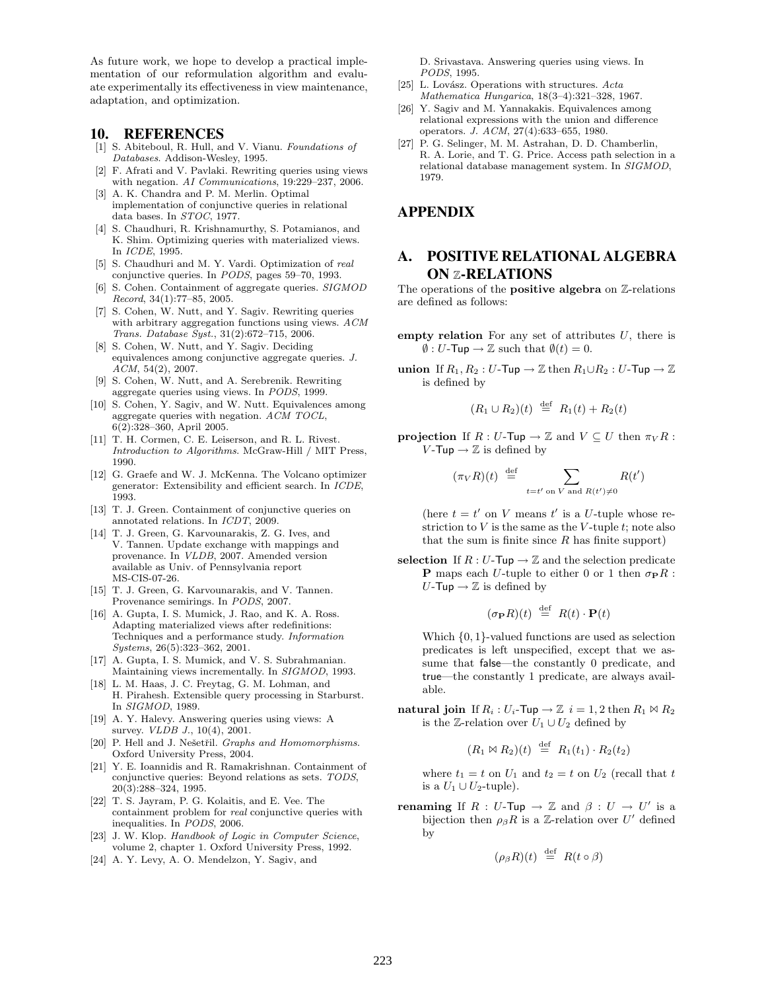As future work, we hope to develop a practical implementation of our reformulation algorithm and evaluate experimentally its effectiveness in view maintenance, adaptation, and optimization.

#### 10. REFERENCES

- [1] S. Abiteboul, R. Hull, and V. Vianu. Foundations of Databases. Addison-Wesley, 1995.
- [2] F. Afrati and V. Pavlaki. Rewriting queries using views with negation. AI Communications, 19:229–237, 2006.
- [3] A. K. Chandra and P. M. Merlin. Optimal implementation of conjunctive queries in relational data bases. In STOC, 1977.
- [4] S. Chaudhuri, R. Krishnamurthy, S. Potamianos, and K. Shim. Optimizing queries with materialized views. In ICDE, 1995.
- [5] S. Chaudhuri and M. Y. Vardi. Optimization of real conjunctive queries. In PODS, pages 59–70, 1993.
- [6] S. Cohen. Containment of aggregate queries. SIGMOD Record, 34(1):77–85, 2005.
- [7] S. Cohen, W. Nutt, and Y. Sagiv. Rewriting queries with arbitrary aggregation functions using views. ACM Trans. Database Syst., 31(2):672–715, 2006.
- [8] S. Cohen, W. Nutt, and Y. Sagiv. Deciding equivalences among conjunctive aggregate queries. J. ACM, 54(2), 2007.
- [9] S. Cohen, W. Nutt, and A. Serebrenik. Rewriting aggregate queries using views. In PODS, 1999.
- [10] S. Cohen, Y. Sagiv, and W. Nutt. Equivalences among aggregate queries with negation. ACM TOCL, 6(2):328–360, April 2005.
- [11] T. H. Cormen, C. E. Leiserson, and R. L. Rivest. Introduction to Algorithms. McGraw-Hill / MIT Press, 1990.
- [12] G. Graefe and W. J. McKenna. The Volcano optimizer generator: Extensibility and efficient search. In ICDE, 1993.
- [13] T. J. Green. Containment of conjunctive queries on annotated relations. In ICDT, 2009.
- [14] T. J. Green, G. Karvounarakis, Z. G. Ives, and V. Tannen. Update exchange with mappings and provenance. In VLDB, 2007. Amended version available as Univ. of Pennsylvania report MS-CIS-07-26.
- [15] T. J. Green, G. Karvounarakis, and V. Tannen. Provenance semirings. In PODS, 2007.
- [16] A. Gupta, I. S. Mumick, J. Rao, and K. A. Ross. Adapting materialized views after redefinitions: Techniques and a performance study. Information Systems, 26(5):323–362, 2001.
- [17] A. Gupta, I. S. Mumick, and V. S. Subrahmanian. Maintaining views incrementally. In SIGMOD, 1993.
- [18] L. M. Haas, J. C. Freytag, G. M. Lohman, and H. Pirahesh. Extensible query processing in Starburst. In SIGMOD, 1989.
- [19] A. Y. Halevy. Answering queries using views: A survey. *VLDB J.*, 10(4), 2001.
- [20] P. Hell and J. Nešetřil. Graphs and Homomorphisms. Oxford University Press, 2004.
- [21] Y. E. Ioannidis and R. Ramakrishnan. Containment of conjunctive queries: Beyond relations as sets. TODS, 20(3):288–324, 1995.
- [22] T. S. Jayram, P. G. Kolaitis, and E. Vee. The containment problem for real conjunctive queries with inequalities. In PODS, 2006.
- [23] J. W. Klop. Handbook of Logic in Computer Science, volume 2, chapter 1. Oxford University Press, 1992.
- [24] A. Y. Levy, A. O. Mendelzon, Y. Sagiv, and

D. Srivastava. Answering queries using views. In PODS, 1995.

- [25] L. Lovász. Operations with structures.  $Acta$ Mathematica Hungarica, 18(3–4):321–328, 1967.
- [26] Y. Sagiv and M. Yannakakis. Equivalences among relational expressions with the union and difference operators. J. ACM, 27(4):633–655, 1980.
- [27] P. G. Selinger, M. M. Astrahan, D. D. Chamberlin, R. A. Lorie, and T. G. Price. Access path selection in a relational database management system. In SIGMOD, 1979.

## APPENDIX

## A. POSITIVE RELATIONAL ALGEBRA ON Z-RELATIONS

The operations of the **positive algebra** on  $Z$ -relations are defined as follows:

- empty relation For any set of attributes  $U$ , there is  $\emptyset$ : U-Tup  $\rightarrow \mathbb{Z}$  such that  $\emptyset(t) = 0$ .
- union If  $R_1, R_2 : U$ -Tup  $\to \mathbb{Z}$  then  $R_1 \cup R_2 : U$ -Tup  $\to \mathbb{Z}$ is defined by

$$
(R_1 \cup R_2)(t) \stackrel{\text{def}}{=} R_1(t) + R_2(t)
$$

**projection** If  $R: U$ -Tup  $\rightarrow \mathbb{Z}$  and  $V \subseteq U$  then  $\pi_V R$ :  $V$ -Tup  $\rightarrow \mathbb{Z}$  is defined by

$$
(\pi_V R)(t) \stackrel{\text{def}}{=} \sum_{t=t' \text{ on } V \text{ and } R(t') \neq 0} R(t')
$$

(here  $t = t'$  on V means  $t'$  is a U-tuple whose restriction to  $V$  is the same as the  $V$ -tuple  $t$ ; note also that the sum is finite since  $R$  has finite support)

selection If  $R: U$ -Tup  $\rightarrow \mathbb{Z}$  and the selection predicate **P** maps each U-tuple to either 0 or 1 then  $\sigma_{\text{P}}R$ : U-Tup  $\rightarrow \mathbb{Z}$  is defined by

$$
(\sigma_{\mathbf{P}}R)(t) \stackrel{\text{def}}{=} R(t) \cdot \mathbf{P}(t)
$$

Which {0, 1}-valued functions are used as selection predicates is left unspecified, except that we assume that false—the constantly 0 predicate, and true—the constantly 1 predicate, are always available.

natural join If  $R_i : U_i$ -Tup  $\to \mathbb{Z}$   $i = 1, 2$  then  $R_1 \bowtie R_2$ is the Z-relation over  $U_1 \cup U_2$  defined by

$$
(R_1 \bowtie R_2)(t) \stackrel{\text{def}}{=} R_1(t_1) \cdot R_2(t_2)
$$

where  $t_1 = t$  on  $U_1$  and  $t_2 = t$  on  $U_2$  (recall that t is a  $U_1 \cup U_2$ -tuple).

**renaming** If  $R: U$ -Tup  $\rightarrow \mathbb{Z}$  and  $\beta: U \rightarrow U'$  is a bijection then  $\rho_{\beta}R$  is a Z-relation over U' defined by

$$
(\rho_{\beta}R)(t) \stackrel{\text{def}}{=} R(t \circ \beta)
$$